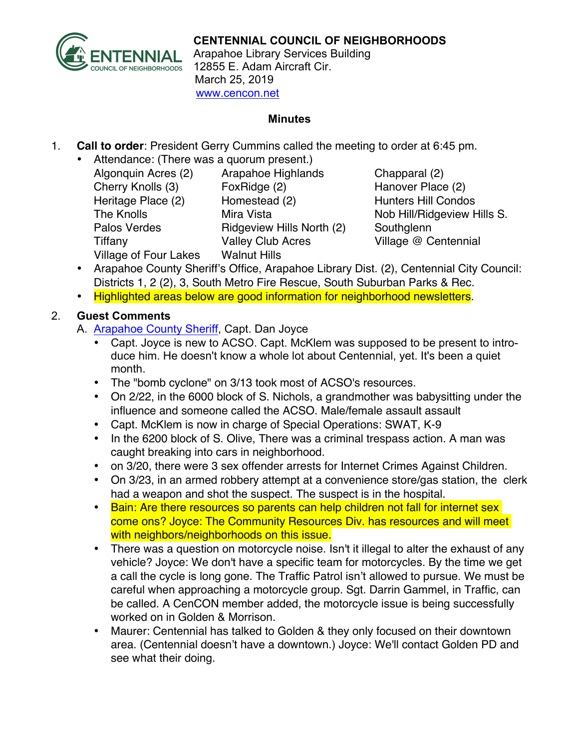

Arapahoe Library Services Building 12855 E. Adam Aircraft Cir. March 25, 2019 www.cencon.net

#### **Minutes**

- 1. **Call to order**: President Gerry Cummins called the meeting to order at 6:45 pm.
	- Attendance: (There was a quorum present.)

Algonquin Acres (2) Arapahoe Highlands Chapparal (2) Cherry Knolls (3) FoxRidge (2) Hanover Place (2) Heritage Place (2) Homestead (2) Hunters Hill Condos The Knolls **Mira Vista** Mira Vista Nob Hill/Ridgeview Hills S. Palos Verdes **Ridgeview Hills North (2)** Southglenn Tiffany Valley Club Acres Village @ Centennial Village of Four Lakes Walnut Hills

- Arapahoe County Sheriff's Office, Arapahoe Library Dist. (2), Centennial City Council: Districts 1, 2 (2), 3, South Metro Fire Rescue, South Suburban Parks & Rec.
- Highlighted areas below are good information for neighborhood newsletters.

## 2. **Guest Comments**

A. [Arapahoe County Sheriff](http://www.arapahoesheriff.org), Capt. Dan Joyce

- Capt. Joyce is new to ACSO. Capt. McKlem was supposed to be present to introduce him. He doesn't know a whole lot about Centennial, yet. It's been a quiet month.
- The "bomb cyclone" on 3/13 took most of ACSO's resources.
- On 2/22, in the 6000 block of S. Nichols, a grandmother was babysitting under the influence and someone called the ACSO. Male/female assault assault
- Capt. McKlem is now in charge of Special Operations: SWAT, K-9
- In the 6200 block of S. Olive, There was a criminal trespass action. A man was caught breaking into cars in neighborhood.
- on 3/20, there were 3 sex offender arrests for Internet Crimes Against Children.
- On 3/23, in an armed robbery attempt at a convenience store/gas station, the clerk had a weapon and shot the suspect. The suspect is in the hospital.
- Bain: Are there resources so parents can help children not fall for internet sex come ons? Joyce: The Community Resources Div. has resources and will meet with neighbors/neighborhoods on this issue.
- There was a question on motorcycle noise. Isn't it illegal to alter the exhaust of any vehicle? Joyce: We don't have a specific team for motorcycles. By the time we get a call the cycle is long gone. The Traffic Patrol isn't allowed to pursue. We must be careful when approaching a motorcycle group. Sgt. Darrin Gammel, in Traffic, can be called. A CenCON member added, the motorcycle issue is being successfully worked on in Golden & Morrison.
- Maurer: Centennial has talked to Golden & they only focused on their downtown area. (Centennial doesn't have a downtown.) Joyce: We'll contact Golden PD and see what their doing.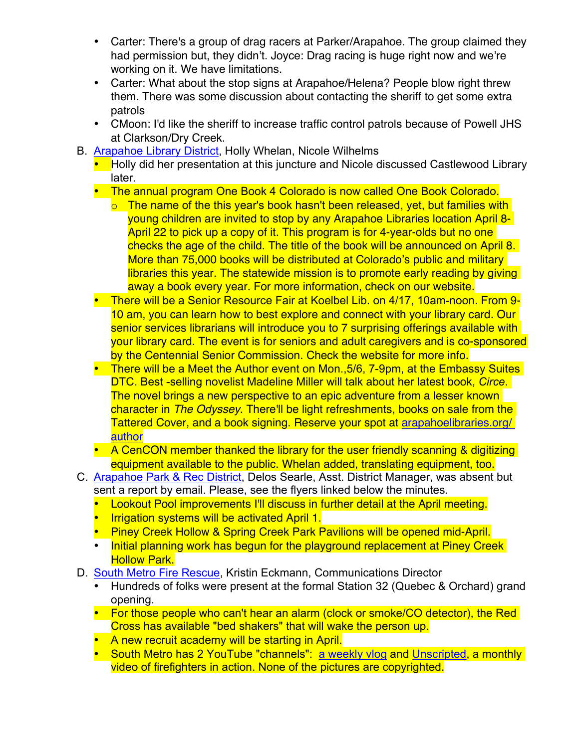- Carter: There's a group of drag racers at Parker/Arapahoe. The group claimed they had permission but, they didn't. Joyce: Drag racing is huge right now and we're working on it. We have limitations.
- Carter: What about the stop signs at Arapahoe/Helena? People blow right threw them. There was some discussion about contacting the sheriff to get some extra patrols
- CMoon: I'd like the sheriff to increase traffic control patrols because of Powell JHS at Clarkson/Dry Creek.
- B. [Arapahoe Library District,](http://www.arapahoelibraries.org/) Holly Whelan, Nicole Wilhelms
	- Holly did her presentation at this juncture and Nicole discussed Castlewood Library later.
	- The annual program One Book 4 Colorado is now called One Book Colorado.
		- $\circ$  The name of the this year's book hasn't been released, yet, but families with young children are invited to stop by any Arapahoe Libraries location April 8- April 22 to pick up a copy of it. This program is for 4-year-olds but no one checks the age of the child. The title of the book will be announced on April 8. More than 75,000 books will be distributed at Colorado's public and military libraries this year. The statewide mission is to promote early reading by giving away a book every year. For more information, check on our website.
	- There will be a Senior Resource Fair at Koelbel Lib. on 4/17, 10am-noon. From 9- 10 am, you can learn how to best explore and connect with your library card. Our senior services librarians will introduce you to 7 surprising offerings available with your library card. The event is for seniors and adult caregivers and is co-sponsored by the Centennial Senior Commission. Check the website for more info.
	- There will be a Meet the Author event on Mon.,5/6, 7-9pm, at the Embassy Suites DTC. Best -selling novelist Madeline Miller will talk about her latest book, *Circe*. The novel brings a new perspective to an epic adventure from a lesser known character in *The Odyssey*. There'll be light refreshments, books on sale from the Tattered Cover, and a book signing. Reserve your spot at [arapahoelibraries.org/](https://arapahoelibraries.org/meet-the-author-series/)  [author](https://arapahoelibraries.org/meet-the-author-series/)
	- A CenCON member thanked the library for the user friendly scanning & digitizing equipment available to the public. Whelan added, translating equipment, too.
- C. [Arapahoe Park & Rec District,](http://www.aprd.org) Delos Searle, Asst. District Manager, was absent but sent a report by email. Please, see the flyers linked below the minutes.
	- Lookout Pool improvements I'll discuss in further detail at the April meeting.
	- Irrigation systems will be activated April 1.
	- Piney Creek Hollow & Spring Creek Park Pavilions will be opened mid-April.
	- Initial planning work has begun for the playground replacement at Piney Creek **Hollow Park.**
- D. [South Metro Fire Rescue,](http://www.southmetro.org/) Kristin Eckmann, Communications Director
	- Hundreds of folks were present at the formal Station 32 (Quebec & Orchard) grand opening.
	- For those people who can't hear an alarm (clock or smoke/CO detector), the Red Cross has available "bed shakers" that will wake the person up.
	- A new recruit academy will be starting in April.
	- South Metro has 2 YouTube "channels": [a weekly vlog](https://www.youtube.com/results?search_query=south+metro+fire+vlog) and [Unscripted](https://www.youtube.com/watch?v=LACTdcE0y8s), a monthly video of firefighters in action. None of the pictures are copyrighted.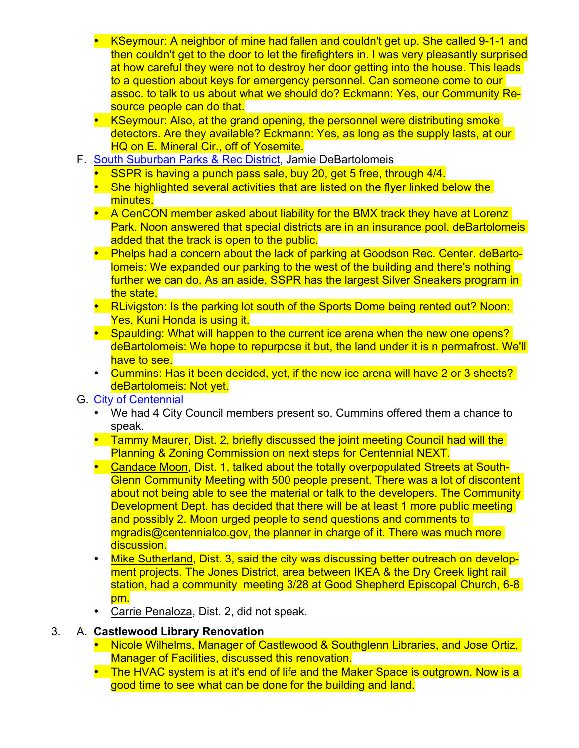- KSeymour: A neighbor of mine had fallen and couldn't get up. She called 9-1-1 and then couldn't get to the door to let the firefighters in. I was very pleasantly surprised at how careful they were not to destroy her door getting into the house. This leads to a question about keys for emergency personnel. Can someone come to our assoc. to talk to us about what we should do? Eckmann: Yes, our Community Resource people can do that.
- KSeymour: Also, at the grand opening, the personnel were distributing smoke detectors. Are they available? Eckmann: Yes, as long as the supply lasts, at our HQ on E. Mineral Cir., off of Yosemite.
- F. [South Suburban Parks & Rec District,](http://www.SSPR.org) Jamie DeBartolomeis
	- SSPR is having a punch pass sale, buy 20, get 5 free, through 4/4.
	- She highlighted several activities that are listed on the flyer linked below the minutes.
	- A CenCON member asked about liability for the BMX track they have at Lorenz Park. Noon answered that special districts are in an insurance pool. deBartolomeis added that the track is open to the public.
	- Phelps had a concern about the lack of parking at Goodson Rec. Center. deBartolomeis: We expanded our parking to the west of the building and there's nothing further we can do. As an aside, SSPR has the largest Silver Sneakers program in the state.
	- RLivigston: Is the parking lot south of the Sports Dome being rented out? Noon: Yes, Kuni Honda is using it.
	- Spaulding: What will happen to the current ice arena when the new one opens? deBartolomeis: We hope to repurpose it but, the land under it is n permafrost. We'll have to see.
	- Cummins: Has it been decided, yet, if the new ice arena will have 2 or 3 sheets? deBartolomeis: Not yet.

### G. [City of Centennial](http://www.centennialco.gov)

- We had 4 City Council members present so, Cummins offered them a chance to speak.
- Tammy Maurer, Dist. 2, briefly discussed the joint meeting Council had will the Planning & Zoning Commission on next steps for Centennial NEXT.
- Candace Moon, Dist. 1, talked about the totally overpopulated Streets at South-Glenn Community Meeting with 500 people present. There was a lot of discontent about not being able to see the material or talk to the developers. The Community Development Dept. has decided that there will be at least 1 more public meeting and possibly 2. Moon urged people to send questions and comments to mgradis@centennialco.gov, the planner in charge of it. There was much more discussion.
- Mike Sutherland, Dist. 3, said the city was discussing better outreach on development projects. The Jones District, area between IKEA & the Dry Creek light rail station, had a community meeting 3/28 at Good Shepherd Episcopal Church, 6-8 pm.
- Carrie Penaloza, Dist. 2, did not speak.

### 3. A. **Castlewood Library Renovation**

- Nicole Wilhelms, Manager of Castlewood & Southglenn Libraries, and Jose Ortiz, Manager of Facilities, discussed this renovation.
- The HVAC system is at it's end of life and the Maker Space is outgrown. Now is a good time to see what can be done for the building and land.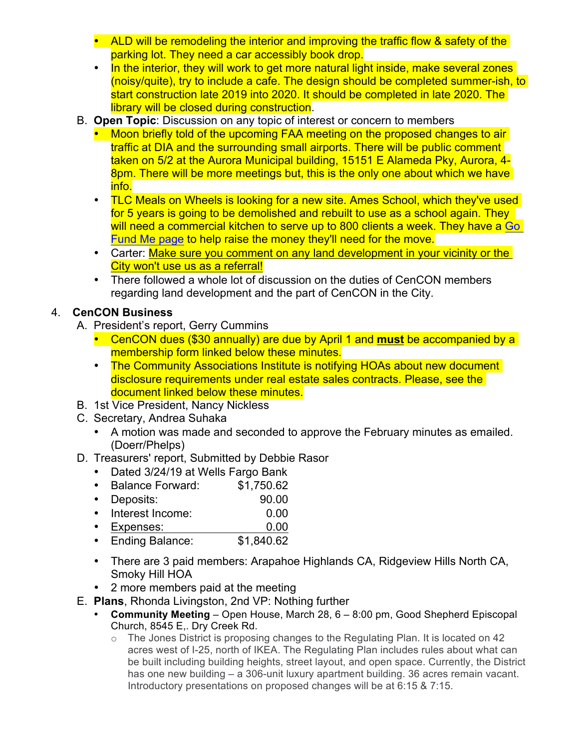- ALD will be remodeling the interior and improving the traffic flow & safety of the parking lot. They need a car accessibly book drop.
- In the interior, they will work to get more natural light inside, make several zones (noisy/quite), try to include a cafe. The design should be completed summer-ish, to start construction late 2019 into 2020. It should be completed in late 2020. The library will be closed during construction.
- B. **Open Topic**: Discussion on any topic of interest or concern to members
	- Moon briefly told of the upcoming FAA meeting on the proposed changes to air traffic at DIA and the surrounding small airports. There will be public comment taken on 5/2 at the Aurora Municipal building, 15151 E Alameda Pky, Aurora, 4- 8pm. There will be more meetings but, this is the only one about which we have info.
	- TLC Meals on Wheels is looking for a new site. Ames School, which they've used for 5 years is going to be demolished and rebuilt to use as a school again. They will need a commercial kitchen to serve up to 800 clients a week. They have a Go Fund Me page to help raise the money they'll need for the move.
	- Carter: Make sure you comment on any land development in your vicinity or the City won't use us as a referral!
	- There followed a whole lot of discussion on the duties of CenCON members regarding land development and the part of CenCON in the City.

# 4. **CenCON Business**

- A. President's report, Gerry Cummins
	- CenCON dues (\$30 annually) are due by April 1 and **must** be accompanied by a membership form linked below these minutes.
	- The Community Associations Institute is notifying HOAs about new document disclosure requirements under real estate sales contracts. Please, see the document linked below these minutes.
- B. 1st Vice President, Nancy Nickless
- C. Secretary, Andrea Suhaka
	- A motion was made and seconded to approve the February minutes as emailed. (Doerr/Phelps)
- D. Treasurers' report, Submitted by Debbie Rasor
	- Dated 3/24/19 at Wells Fargo Bank
	- Balance Forward: \$1,750.62
	- Deposits: 90.00
	- Interest Income: 0.00
	- Expenses: 0.00<br>• Ending Balance: \$1,840.62
	- Ending Balance:
	- There are 3 paid members: Arapahoe Highlands CA, Ridgeview Hills North CA, Smoky Hill HOA
	- 2 more members paid at the meeting
- E. **Plans**, Rhonda Livingston, 2nd VP: Nothing further
	- **Community Meeting** Open House, March 28, 6 8:00 pm, Good Shepherd Episcopal Church, 8545 E,. Dry Creek Rd.
		- $\circ$  The Jones District is proposing changes to the Regulating Plan. It is located on 42 acres west of I-25, north of IKEA. The Regulating Plan includes rules about what can be built including building heights, street layout, and open space. Currently, the District has one new building – a 306-unit luxury apartment building. 36 acres remain vacant. Introductory presentations on proposed changes will be at 6:15 & 7:15.